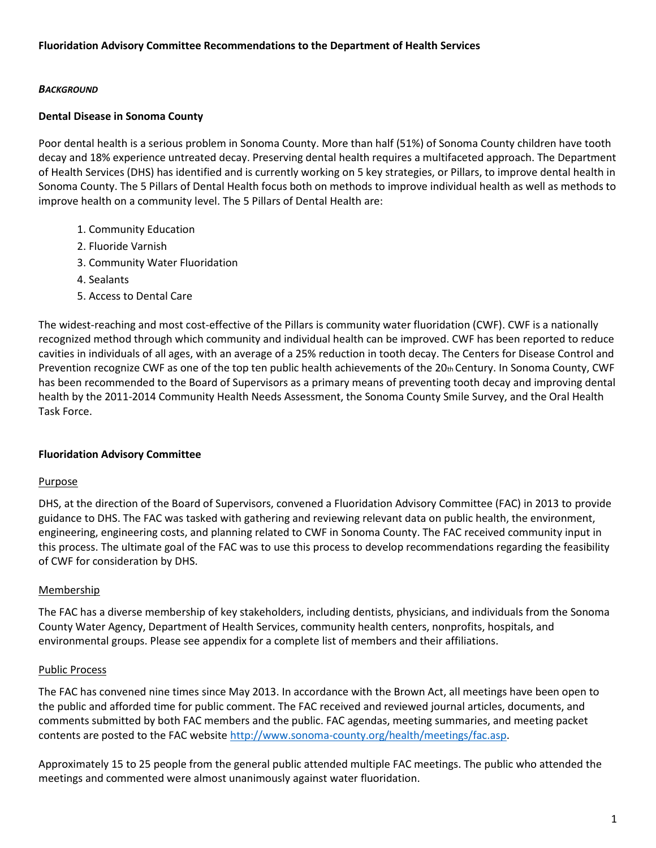## *BACKGROUND*

## **Dental Disease in Sonoma County**

Poor dental health is a serious problem in Sonoma County. More than half (51%) of Sonoma County children have tooth decay and 18% experience untreated decay. Preserving dental health requires a multifaceted approach. The Department of Health Services (DHS) has identified and is currently working on 5 key strategies, or Pillars, to improve dental health in Sonoma County. The 5 Pillars of Dental Health focus both on methods to improve individual health as well as methods to improve health on a community level. The 5 Pillars of Dental Health are:

- 1. Community Education
- 2. Fluoride Varnish
- 3. Community Water Fluoridation
- 4. Sealants
- 5. Access to Dental Care

The widest-reaching and most cost-effective of the Pillars is community water fluoridation (CWF). CWF is a nationally recognized method through which community and individual health can be improved. CWF has been reported to reduce cavities in individuals of all ages, with an average of a 25% reduction in tooth decay. The Centers for Disease Control and Prevention recognize CWF as one of the top ten public health achievements of the 20th Century. In Sonoma County, CWF has been recommended to the Board of Supervisors as a primary means of preventing tooth decay and improving dental health by the 2011-2014 Community Health Needs Assessment, the Sonoma County Smile Survey, and the Oral Health Task Force.

## **Fluoridation Advisory Committee**

## Purpose

DHS, at the direction of the Board of Supervisors, convened a Fluoridation Advisory Committee (FAC) in 2013 to provide guidance to DHS. The FAC was tasked with gathering and reviewing relevant data on public health, the environment, engineering, engineering costs, and planning related to CWF in Sonoma County. The FAC received community input in this process. The ultimate goal of the FAC was to use this process to develop recommendations regarding the feasibility of CWF for consideration by DHS.

## Membership

The FAC has a diverse membership of key stakeholders, including dentists, physicians, and individuals from the Sonoma County Water Agency, Department of Health Services, community health centers, nonprofits, hospitals, and environmental groups. Please see appendix for a complete list of members and their affiliations.

## Public Process

The FAC has convened nine times since May 2013. In accordance with the Brown Act, all meetings have been open to the public and afforded time for public comment. The FAC received and reviewed journal articles, documents, and comments submitted by both FAC members and the public. FAC agendas, meeting summaries, and meeting packet contents are posted to the FAC website [http://www.sonoma-county.org/health/meetings/fac.asp.](http://www.sonoma-county.org/health/meetings/fac.asp)

Approximately 15 to 25 people from the general public attended multiple FAC meetings. The public who attended the meetings and commented were almost unanimously against water fluoridation.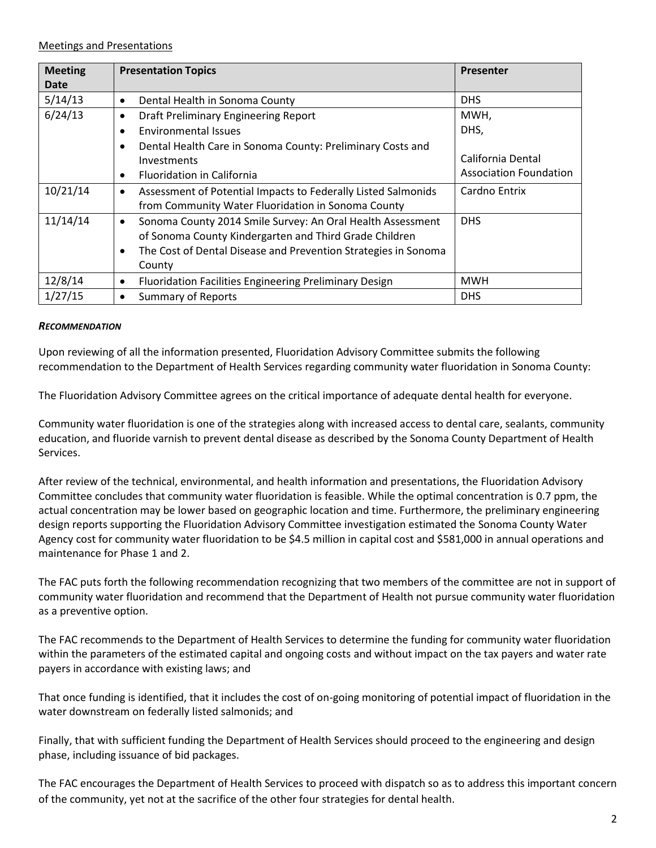#### Meetings and Presentations

| <b>Meeting</b> | <b>Presentation Topics</b>                                                 | <b>Presenter</b>              |
|----------------|----------------------------------------------------------------------------|-------------------------------|
| <b>Date</b>    |                                                                            |                               |
| 5/14/13        | Dental Health in Sonoma County<br>$\bullet$                                | <b>DHS</b>                    |
| 6/24/13        | Draft Preliminary Engineering Report                                       | MWH,                          |
|                | <b>Environmental Issues</b>                                                | DHS,                          |
|                | Dental Health Care in Sonoma County: Preliminary Costs and<br>٠            |                               |
|                | Investments                                                                | California Dental             |
|                | <b>Fluoridation in California</b>                                          | <b>Association Foundation</b> |
| 10/21/14       | Assessment of Potential Impacts to Federally Listed Salmonids<br>$\bullet$ | Cardno Entrix                 |
|                | from Community Water Fluoridation in Sonoma County                         |                               |
| 11/14/14       | Sonoma County 2014 Smile Survey: An Oral Health Assessment<br>$\bullet$    | <b>DHS</b>                    |
|                | of Sonoma County Kindergarten and Third Grade Children                     |                               |
|                | The Cost of Dental Disease and Prevention Strategies in Sonoma             |                               |
|                | County                                                                     |                               |
| 12/8/14        | Fluoridation Facilities Engineering Preliminary Design<br>٠                | <b>MWH</b>                    |
| 1/27/15        | <b>Summary of Reports</b>                                                  | <b>DHS</b>                    |

#### *RECOMMENDATION*

Upon reviewing of all the information presented, Fluoridation Advisory Committee submits the following recommendation to the Department of Health Services regarding community water fluoridation in Sonoma County:

The Fluoridation Advisory Committee agrees on the critical importance of adequate dental health for everyone.

Community water fluoridation is one of the strategies along with increased access to dental care, sealants, community education, and fluoride varnish to prevent dental disease as described by the Sonoma County Department of Health Services.

After review of the technical, environmental, and health information and presentations, the Fluoridation Advisory Committee concludes that community water fluoridation is feasible. While the optimal concentration is 0.7 ppm, the actual concentration may be lower based on geographic location and time. Furthermore, the preliminary engineering design reports supporting the Fluoridation Advisory Committee investigation estimated the Sonoma County Water Agency cost for community water fluoridation to be \$4.5 million in capital cost and \$581,000 in annual operations and maintenance for Phase 1 and 2.

The FAC puts forth the following recommendation recognizing that two members of the committee are not in support of community water fluoridation and recommend that the Department of Health not pursue community water fluoridation as a preventive option.

The FAC recommends to the Department of Health Services to determine the funding for community water fluoridation within the parameters of the estimated capital and ongoing costs and without impact on the tax payers and water rate payers in accordance with existing laws; and

That once funding is identified, that it includes the cost of on-going monitoring of potential impact of fluoridation in the water downstream on federally listed salmonids; and

Finally, that with sufficient funding the Department of Health Services should proceed to the engineering and design phase, including issuance of bid packages.

The FAC encourages the Department of Health Services to proceed with dispatch so as to address this important concern of the community, yet not at the sacrifice of the other four strategies for dental health.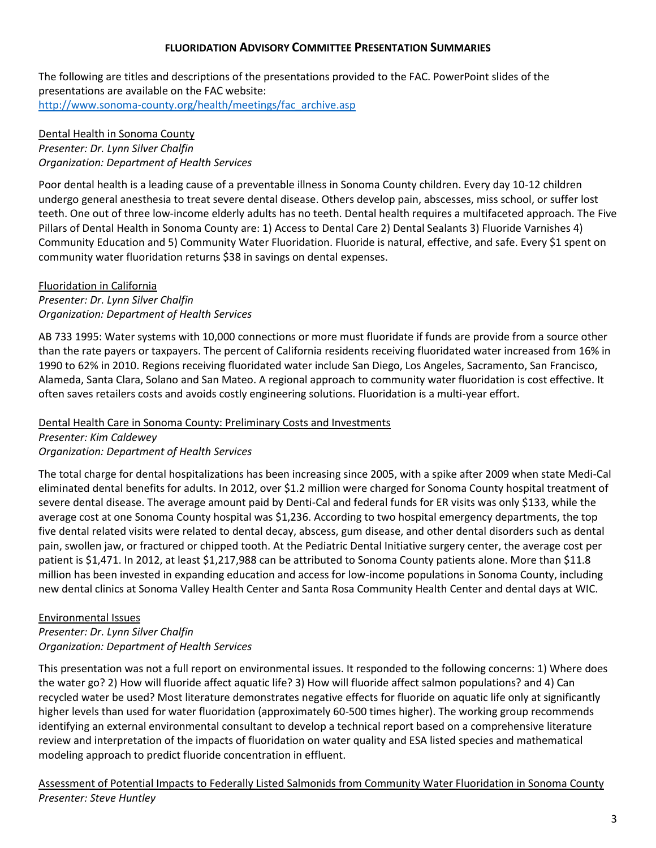## **FLUORIDATION ADVISORY COMMITTEE PRESENTATION SUMMARIES**

The following are titles and descriptions of the presentations provided to the FAC. PowerPoint slides of the presentations are available on the FAC website: [http://www.sonoma-county.org/health/meetings/fac\\_archive.asp](http://www.sonoma-county.org/health/meetings/fac_archive.asp)

## Dental Health in Sonoma County *Presenter: Dr. Lynn Silver Chalfin Organization: Department of Health Services*

Poor dental health is a leading cause of a preventable illness in Sonoma County children. Every day 10-12 children undergo general anesthesia to treat severe dental disease. Others develop pain, abscesses, miss school, or suffer lost teeth. One out of three low-income elderly adults has no teeth. Dental health requires a multifaceted approach. The Five Pillars of Dental Health in Sonoma County are: 1) Access to Dental Care 2) Dental Sealants 3) Fluoride Varnishes 4) Community Education and 5) Community Water Fluoridation. Fluoride is natural, effective, and safe. Every \$1 spent on community water fluoridation returns \$38 in savings on dental expenses.

# Fluoridation in California

*Presenter: Dr. Lynn Silver Chalfin Organization: Department of Health Services*

AB 733 1995: Water systems with 10,000 connections or more must fluoridate if funds are provide from a source other than the rate payers or taxpayers. The percent of California residents receiving fluoridated water increased from 16% in 1990 to 62% in 2010. Regions receiving fluoridated water include San Diego, Los Angeles, Sacramento, San Francisco, Alameda, Santa Clara, Solano and San Mateo. A regional approach to community water fluoridation is cost effective. It often saves retailers costs and avoids costly engineering solutions. Fluoridation is a multi-year effort.

## Dental Health Care in Sonoma County: Preliminary Costs and Investments

*Presenter: Kim Caldewey Organization: Department of Health Services*

The total charge for dental hospitalizations has been increasing since 2005, with a spike after 2009 when state Medi-Cal eliminated dental benefits for adults. In 2012, over \$1.2 million were charged for Sonoma County hospital treatment of severe dental disease. The average amount paid by Denti-Cal and federal funds for ER visits was only \$133, while the average cost at one Sonoma County hospital was \$1,236. According to two hospital emergency departments, the top five dental related visits were related to dental decay, abscess, gum disease, and other dental disorders such as dental pain, swollen jaw, or fractured or chipped tooth. At the Pediatric Dental Initiative surgery center, the average cost per patient is \$1,471. In 2012, at least \$1,217,988 can be attributed to Sonoma County patients alone. More than \$11.8 million has been invested in expanding education and access for low-income populations in Sonoma County, including new dental clinics at Sonoma Valley Health Center and Santa Rosa Community Health Center and dental days at WIC.

## Environmental Issues

*Presenter: Dr. Lynn Silver Chalfin Organization: Department of Health Services* 

This presentation was not a full report on environmental issues. It responded to the following concerns: 1) Where does the water go? 2) How will fluoride affect aquatic life? 3) How will fluoride affect salmon populations? and 4) Can recycled water be used? Most literature demonstrates negative effects for fluoride on aquatic life only at significantly higher levels than used for water fluoridation (approximately 60-500 times higher). The working group recommends identifying an external environmental consultant to develop a technical report based on a comprehensive literature review and interpretation of the impacts of fluoridation on water quality and ESA listed species and mathematical modeling approach to predict fluoride concentration in effluent.

Assessment of Potential Impacts to Federally Listed Salmonids from Community Water Fluoridation in Sonoma County *Presenter: Steve Huntley*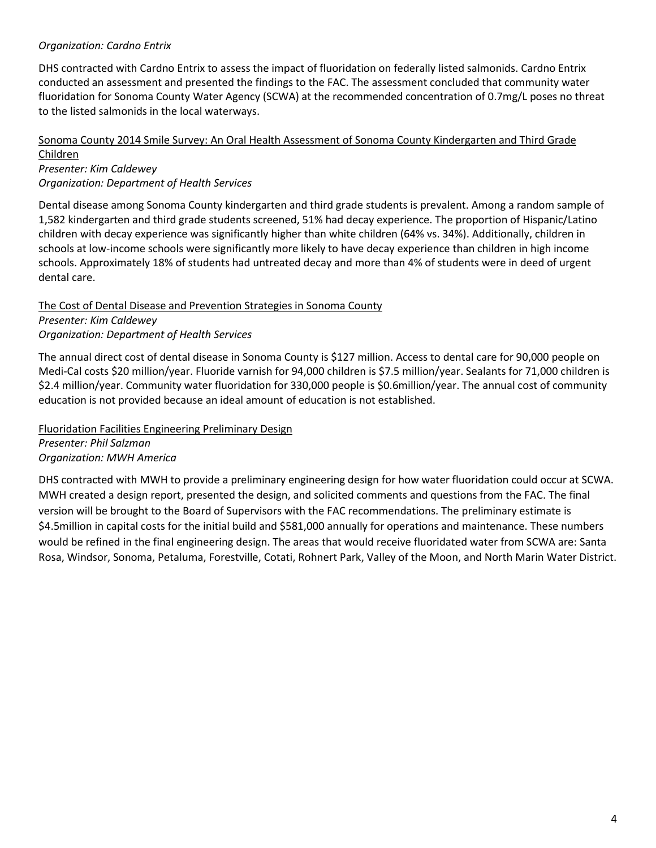## *Organization: Cardno Entrix*

DHS contracted with Cardno Entrix to assess the impact of fluoridation on federally listed salmonids. Cardno Entrix conducted an assessment and presented the findings to the FAC. The assessment concluded that community water fluoridation for Sonoma County Water Agency (SCWA) at the recommended concentration of 0.7mg/L poses no threat to the listed salmonids in the local waterways.

## Sonoma County 2014 Smile Survey: An Oral Health Assessment of Sonoma County Kindergarten and Third Grade Children

*Presenter: Kim Caldewey Organization: Department of Health Services* 

Dental disease among Sonoma County kindergarten and third grade students is prevalent. Among a random sample of 1,582 kindergarten and third grade students screened, 51% had decay experience. The proportion of Hispanic/Latino children with decay experience was significantly higher than white children (64% vs. 34%). Additionally, children in schools at low-income schools were significantly more likely to have decay experience than children in high income schools. Approximately 18% of students had untreated decay and more than 4% of students were in deed of urgent dental care.

The Cost of Dental Disease and Prevention Strategies in Sonoma County *Presenter: Kim Caldewey Organization: Department of Health Services*

The annual direct cost of dental disease in Sonoma County is \$127 million. Access to dental care for 90,000 people on Medi-Cal costs \$20 million/year. Fluoride varnish for 94,000 children is \$7.5 million/year. Sealants for 71,000 children is \$2.4 million/year. Community water fluoridation for 330,000 people is \$0.6million/year. The annual cost of community education is not provided because an ideal amount of education is not established.

Fluoridation Facilities Engineering Preliminary Design *Presenter: Phil Salzman Organization: MWH America*

DHS contracted with MWH to provide a preliminary engineering design for how water fluoridation could occur at SCWA. MWH created a design report, presented the design, and solicited comments and questions from the FAC. The final version will be brought to the Board of Supervisors with the FAC recommendations. The preliminary estimate is \$4.5million in capital costs for the initial build and \$581,000 annually for operations and maintenance. These numbers would be refined in the final engineering design. The areas that would receive fluoridated water from SCWA are: Santa Rosa, Windsor, Sonoma, Petaluma, Forestville, Cotati, Rohnert Park, Valley of the Moon, and North Marin Water District.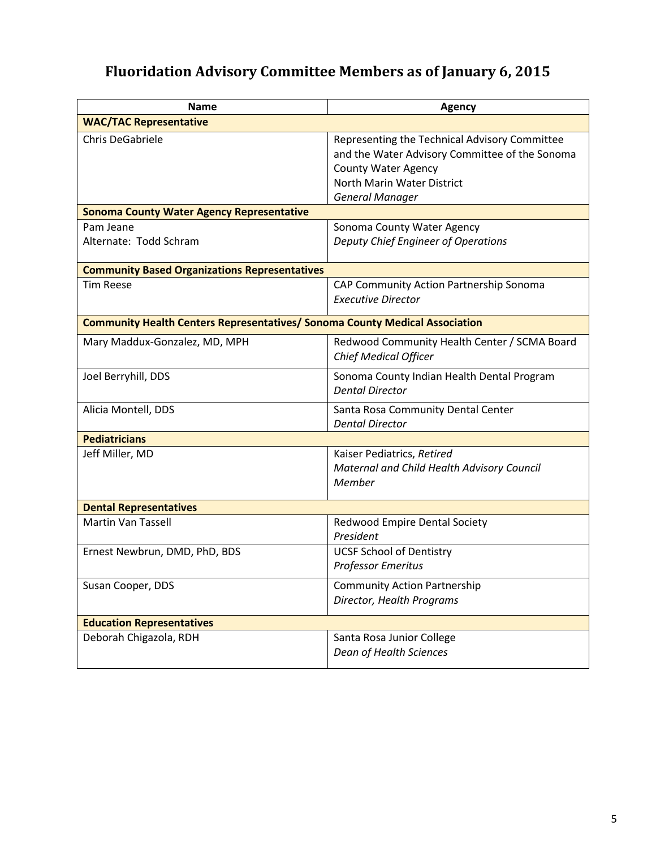# **Fluoridation Advisory Committee Members as of January 6, 2015**

| <b>Name</b>                                                                        | <b>Agency</b>                                                        |  |  |  |
|------------------------------------------------------------------------------------|----------------------------------------------------------------------|--|--|--|
| <b>WAC/TAC Representative</b>                                                      |                                                                      |  |  |  |
| <b>Chris DeGabriele</b>                                                            | Representing the Technical Advisory Committee                        |  |  |  |
|                                                                                    | and the Water Advisory Committee of the Sonoma                       |  |  |  |
|                                                                                    | <b>County Water Agency</b>                                           |  |  |  |
|                                                                                    | North Marin Water District                                           |  |  |  |
|                                                                                    | <b>General Manager</b>                                               |  |  |  |
| <b>Sonoma County Water Agency Representative</b>                                   |                                                                      |  |  |  |
| Pam Jeane                                                                          | Sonoma County Water Agency                                           |  |  |  |
| Alternate: Todd Schram                                                             | Deputy Chief Engineer of Operations                                  |  |  |  |
|                                                                                    |                                                                      |  |  |  |
| <b>Community Based Organizations Representatives</b>                               |                                                                      |  |  |  |
| <b>Tim Reese</b>                                                                   | CAP Community Action Partnership Sonoma                              |  |  |  |
|                                                                                    | <b>Executive Director</b>                                            |  |  |  |
| <b>Community Health Centers Representatives/ Sonoma County Medical Association</b> |                                                                      |  |  |  |
| Mary Maddux-Gonzalez, MD, MPH                                                      | Redwood Community Health Center / SCMA Board                         |  |  |  |
|                                                                                    | <b>Chief Medical Officer</b>                                         |  |  |  |
|                                                                                    |                                                                      |  |  |  |
| Joel Berryhill, DDS                                                                | Sonoma County Indian Health Dental Program<br><b>Dental Director</b> |  |  |  |
|                                                                                    |                                                                      |  |  |  |
| Alicia Montell, DDS                                                                | Santa Rosa Community Dental Center                                   |  |  |  |
|                                                                                    | <b>Dental Director</b>                                               |  |  |  |
| <b>Pediatricians</b>                                                               |                                                                      |  |  |  |
| Jeff Miller, MD                                                                    | Kaiser Pediatrics, Retired                                           |  |  |  |
|                                                                                    | Maternal and Child Health Advisory Council                           |  |  |  |
|                                                                                    | Member                                                               |  |  |  |
| <b>Dental Representatives</b>                                                      |                                                                      |  |  |  |
| <b>Martin Van Tassell</b>                                                          | Redwood Empire Dental Society                                        |  |  |  |
|                                                                                    | President                                                            |  |  |  |
| Ernest Newbrun, DMD, PhD, BDS                                                      | <b>UCSF School of Dentistry</b>                                      |  |  |  |
|                                                                                    | <b>Professor Emeritus</b>                                            |  |  |  |
| Susan Cooper, DDS                                                                  | <b>Community Action Partnership</b>                                  |  |  |  |
|                                                                                    | Director, Health Programs                                            |  |  |  |
| <b>Education Representatives</b>                                                   |                                                                      |  |  |  |
| Deborah Chigazola, RDH                                                             | Santa Rosa Junior College                                            |  |  |  |
|                                                                                    | Dean of Health Sciences                                              |  |  |  |
|                                                                                    |                                                                      |  |  |  |